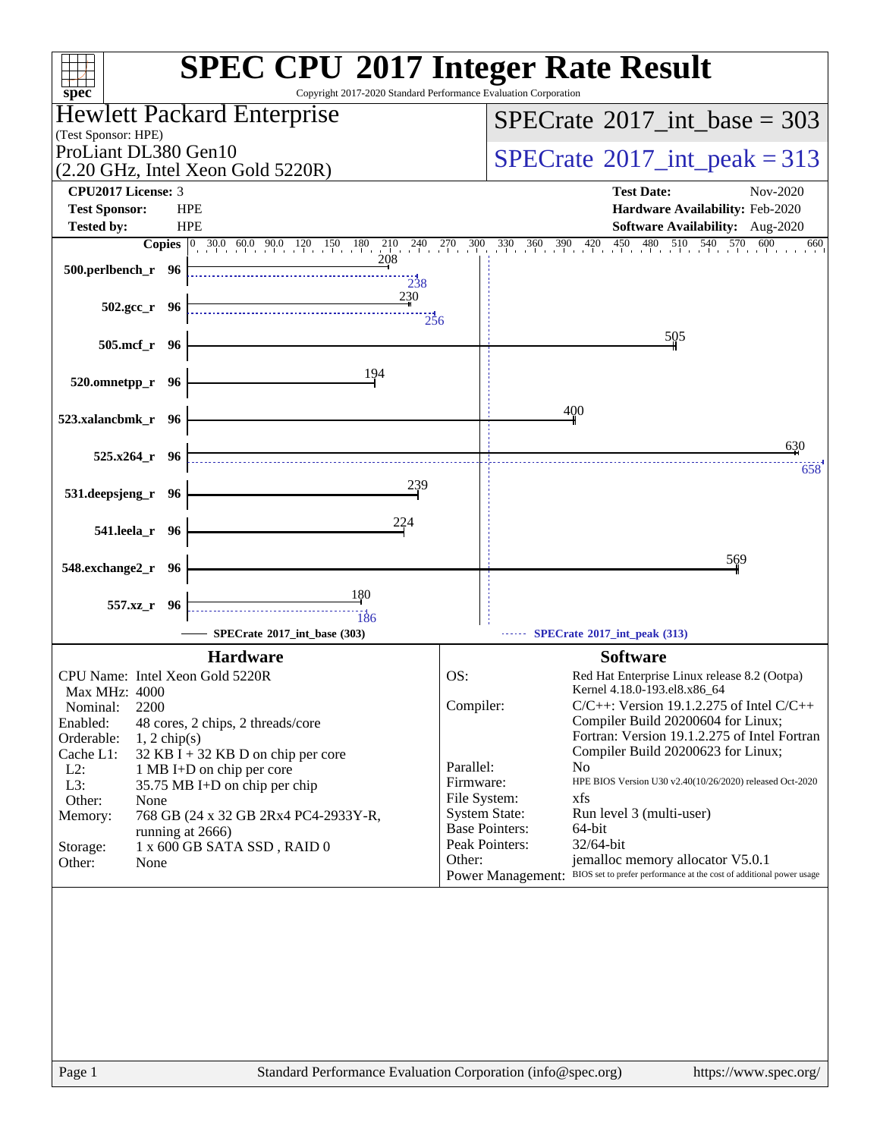| Hewlett Packard Enterprise<br>(Test Sponsor: HPE)<br>ProLiant DL380 Gen10<br>(2.20 GHz, Intel Xeon Gold 5220R)<br><b>CPU2017 License: 3</b><br><b>Test Date:</b><br><b>Test Sponsor:</b><br><b>HPE</b><br><b>Tested by:</b><br><b>HPE</b><br>Software Availability: Aug-2020<br>540 570<br>$360$ $390$ $420$ $450$ 4<br>480<br>$510 - 540$<br><b>Copies</b> $\begin{bmatrix} 0 & 30.0 & 60.0 & 90.0 & 120 & 150 & 180 & 210 & 240 & 270 \\ 0 & 0 & 0 & 0 & 1 & 1 & 1 & 1 & 1 \\ 0 & 0 & 0 & 0 & 0 & 208 & 1 \end{bmatrix}$<br>300<br>330<br>600<br>500.perlbench_r 96<br>$\frac{1}{2}38$<br>230<br>$502.\text{gcc}_r$ 96<br>$2\overline{5}6$<br>505<br>505.mcf_r 96<br>194<br>520.omnetpp_r 96<br>400<br>523.xalancbmk_r 96<br>$525.x264$ $r$ 96<br>239<br>531.deepsjeng_r 96<br>224<br>541.leela_r 96<br>569<br>548.exchange2_r 96<br>180                     | spec <sup>®</sup> | <b>SPEC CPU®2017 Integer Rate Result</b><br>Copyright 2017-2020 Standard Performance Evaluation Corporation                                                                                                                                                                                         |
|----------------------------------------------------------------------------------------------------------------------------------------------------------------------------------------------------------------------------------------------------------------------------------------------------------------------------------------------------------------------------------------------------------------------------------------------------------------------------------------------------------------------------------------------------------------------------------------------------------------------------------------------------------------------------------------------------------------------------------------------------------------------------------------------------------------------------------------------------------------|-------------------|-----------------------------------------------------------------------------------------------------------------------------------------------------------------------------------------------------------------------------------------------------------------------------------------------------|
|                                                                                                                                                                                                                                                                                                                                                                                                                                                                                                                                                                                                                                                                                                                                                                                                                                                                |                   | $SPECrate^{\circledast}2017\_int\_base = 303$                                                                                                                                                                                                                                                       |
|                                                                                                                                                                                                                                                                                                                                                                                                                                                                                                                                                                                                                                                                                                                                                                                                                                                                |                   | $SPECrate^{\circ}2017\_int\_peak = 313$                                                                                                                                                                                                                                                             |
|                                                                                                                                                                                                                                                                                                                                                                                                                                                                                                                                                                                                                                                                                                                                                                                                                                                                |                   | Nov-2020                                                                                                                                                                                                                                                                                            |
|                                                                                                                                                                                                                                                                                                                                                                                                                                                                                                                                                                                                                                                                                                                                                                                                                                                                |                   | Hardware Availability: Feb-2020                                                                                                                                                                                                                                                                     |
|                                                                                                                                                                                                                                                                                                                                                                                                                                                                                                                                                                                                                                                                                                                                                                                                                                                                |                   | 660                                                                                                                                                                                                                                                                                                 |
|                                                                                                                                                                                                                                                                                                                                                                                                                                                                                                                                                                                                                                                                                                                                                                                                                                                                |                   |                                                                                                                                                                                                                                                                                                     |
|                                                                                                                                                                                                                                                                                                                                                                                                                                                                                                                                                                                                                                                                                                                                                                                                                                                                |                   |                                                                                                                                                                                                                                                                                                     |
|                                                                                                                                                                                                                                                                                                                                                                                                                                                                                                                                                                                                                                                                                                                                                                                                                                                                |                   |                                                                                                                                                                                                                                                                                                     |
|                                                                                                                                                                                                                                                                                                                                                                                                                                                                                                                                                                                                                                                                                                                                                                                                                                                                |                   |                                                                                                                                                                                                                                                                                                     |
|                                                                                                                                                                                                                                                                                                                                                                                                                                                                                                                                                                                                                                                                                                                                                                                                                                                                |                   |                                                                                                                                                                                                                                                                                                     |
|                                                                                                                                                                                                                                                                                                                                                                                                                                                                                                                                                                                                                                                                                                                                                                                                                                                                |                   | 630<br>658                                                                                                                                                                                                                                                                                          |
|                                                                                                                                                                                                                                                                                                                                                                                                                                                                                                                                                                                                                                                                                                                                                                                                                                                                |                   |                                                                                                                                                                                                                                                                                                     |
|                                                                                                                                                                                                                                                                                                                                                                                                                                                                                                                                                                                                                                                                                                                                                                                                                                                                |                   |                                                                                                                                                                                                                                                                                                     |
|                                                                                                                                                                                                                                                                                                                                                                                                                                                                                                                                                                                                                                                                                                                                                                                                                                                                |                   |                                                                                                                                                                                                                                                                                                     |
| 186                                                                                                                                                                                                                                                                                                                                                                                                                                                                                                                                                                                                                                                                                                                                                                                                                                                            | 557.xz_r 96       |                                                                                                                                                                                                                                                                                                     |
| SPECrate®2017_int_base (303)<br>SPECrate®2017_int_peak (313)                                                                                                                                                                                                                                                                                                                                                                                                                                                                                                                                                                                                                                                                                                                                                                                                   |                   |                                                                                                                                                                                                                                                                                                     |
| <b>Hardware</b><br><b>Software</b><br>OS:<br>CPU Name: Intel Xeon Gold 5220R<br>Kernel 4.18.0-193.el8.x86 64<br>Max MHz: 4000<br>Compiler:<br>2200<br>Nominal:<br>Compiler Build 20200604 for Linux;<br>Enabled:<br>48 cores, 2 chips, 2 threads/core<br>Orderable:<br>$1, 2$ chip(s)<br>Compiler Build 20200623 for Linux;<br>Cache L1:<br>$32$ KB I + 32 KB D on chip per core<br>Parallel:<br>N <sub>0</sub><br>$L2$ :<br>1 MB I+D on chip per core<br>Firmware:<br>L3:<br>$35.75$ MB I+D on chip per chip<br>File System:<br>xfs<br>Other:<br>None<br><b>System State:</b><br>Run level 3 (multi-user)<br>Memory:<br>768 GB (24 x 32 GB 2Rx4 PC4-2933Y-R,<br><b>Base Pointers:</b><br>64-bit<br>running at 2666)<br>Peak Pointers:<br>32/64-bit<br>1 x 600 GB SATA SSD, RAID 0<br>Storage:<br>Other:<br>jemalloc memory allocator V5.0.1<br>Other:<br>None |                   | Red Hat Enterprise Linux release 8.2 (Ootpa)<br>$C/C++$ : Version 19.1.2.275 of Intel $C/C++$<br>Fortran: Version 19.1.2.275 of Intel Fortran<br>HPE BIOS Version U30 v2.40(10/26/2020) released Oct-2020<br>Power Management: BIOS set to prefer performance at the cost of additional power usage |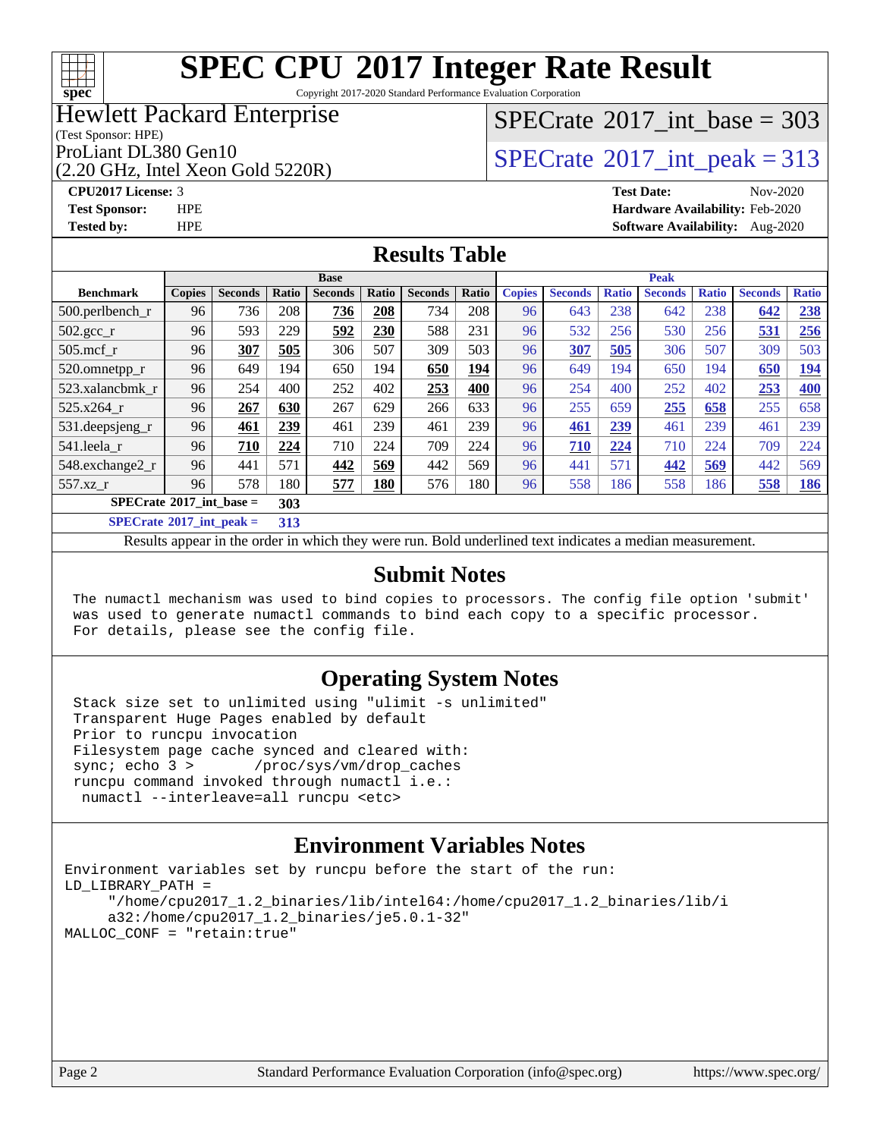

Copyright 2017-2020 Standard Performance Evaluation Corporation

### Hewlett Packard Enterprise

(Test Sponsor: HPE)

(2.20 GHz, Intel Xeon Gold 5220R)

### $SPECTate@2017_int\_base = 303$

ProLiant DL380 Gen10<br>(2.20 GHz, Intel Xeon Gold 5220R) [SPECrate](http://www.spec.org/auto/cpu2017/Docs/result-fields.html#SPECrate2017intpeak)®[2017\\_int\\_peak = 3](http://www.spec.org/auto/cpu2017/Docs/result-fields.html#SPECrate2017intpeak)13

**[CPU2017 License:](http://www.spec.org/auto/cpu2017/Docs/result-fields.html#CPU2017License)** 3 **[Test Date:](http://www.spec.org/auto/cpu2017/Docs/result-fields.html#TestDate)** Nov-2020 **[Test Sponsor:](http://www.spec.org/auto/cpu2017/Docs/result-fields.html#TestSponsor)** HPE **[Hardware Availability:](http://www.spec.org/auto/cpu2017/Docs/result-fields.html#HardwareAvailability)** Feb-2020 **[Tested by:](http://www.spec.org/auto/cpu2017/Docs/result-fields.html#Testedby)** HPE **[Software Availability:](http://www.spec.org/auto/cpu2017/Docs/result-fields.html#SoftwareAvailability)** Aug-2020

### **[Results Table](http://www.spec.org/auto/cpu2017/Docs/result-fields.html#ResultsTable)**

| <b>Base</b>                                                                                            |               |                |       |                | <b>Peak</b> |                |       |               |                |              |                |              |                |              |
|--------------------------------------------------------------------------------------------------------|---------------|----------------|-------|----------------|-------------|----------------|-------|---------------|----------------|--------------|----------------|--------------|----------------|--------------|
| <b>Benchmark</b>                                                                                       | <b>Copies</b> | <b>Seconds</b> | Ratio | <b>Seconds</b> | Ratio       | <b>Seconds</b> | Ratio | <b>Copies</b> | <b>Seconds</b> | <b>Ratio</b> | <b>Seconds</b> | <b>Ratio</b> | <b>Seconds</b> | <b>Ratio</b> |
| 500.perlbench_r                                                                                        | 96            | 736            | 208   | 736            | 208         | 734            | 208   | 96            | 643            | 238          | 642            | 238          | 642            | 238          |
| 502.gcc_r                                                                                              | 96            | 593            | 229   | 592            | 230         | 588            | 231   | 96            | 532            | 256          | 530            | 256          | 531            | 256          |
| $505$ .mcf r                                                                                           | 96            | 307            | 505   | 306            | 507         | 309            | 503   | 96            | 307            | 505          | 306            | 507          | 309            | 503          |
| 520.omnetpp_r                                                                                          | 96            | 649            | 194   | 650            | 194         | 650            | 194   | 96            | 649            | 194          | 650            | 194          | 650            | <u>194</u>   |
| 523.xalancbmk_r                                                                                        | 96            | 254            | 400   | 252            | 402         | 253            | 400   | 96            | 254            | 400          | 252            | 402          | 253            | 400          |
| 525.x264 r                                                                                             | 96            | 267            | 630   | 267            | 629         | 266            | 633   | 96            | 255            | 659          | 255            | 658          | 255            | 658          |
| $531.$ deepsjeng $_r$                                                                                  | 96            | 461            | 239   | 461            | 239         | 461            | 239   | 96            | 461            | 239          | 461            | 239          | 461            | 239          |
| 541.leela r                                                                                            | 96            | 710            | 224   | 710            | 224         | 709            | 224   | 96            | 710            | 224          | 710            | 224          | 709            | 224          |
| 548.exchange2_r                                                                                        | 96            | 441            | 571   | 442            | 569         | 442            | 569   | 96            | 441            | 571          | 442            | 569          | 442            | 569          |
| 557.xz r                                                                                               | 96            | 578            | 180   | 577            | <b>180</b>  | 576            | 180   | 96            | 558            | 186          | 558            | 186          | 558            | <b>186</b>   |
| $SPECrate^{\circ}2017$ int base =                                                                      |               |                | 303   |                |             |                |       |               |                |              |                |              |                |              |
| $CDFC_{\text{tot}}$ $\epsilon_0$ 0017 $\epsilon_1$ $\epsilon_2$ $\epsilon_3$ $\epsilon_4$ $\epsilon_5$ |               |                | 212   |                |             |                |       |               |                |              |                |              |                |              |

**[SPECrate](http://www.spec.org/auto/cpu2017/Docs/result-fields.html#SPECrate2017intpeak)[2017\\_int\\_peak =](http://www.spec.org/auto/cpu2017/Docs/result-fields.html#SPECrate2017intpeak) 313**

Results appear in the [order in which they were run](http://www.spec.org/auto/cpu2017/Docs/result-fields.html#RunOrder). Bold underlined text [indicates a median measurement](http://www.spec.org/auto/cpu2017/Docs/result-fields.html#Median).

### **[Submit Notes](http://www.spec.org/auto/cpu2017/Docs/result-fields.html#SubmitNotes)**

 The numactl mechanism was used to bind copies to processors. The config file option 'submit' was used to generate numactl commands to bind each copy to a specific processor. For details, please see the config file.

### **[Operating System Notes](http://www.spec.org/auto/cpu2017/Docs/result-fields.html#OperatingSystemNotes)**

 Stack size set to unlimited using "ulimit -s unlimited" Transparent Huge Pages enabled by default Prior to runcpu invocation Filesystem page cache synced and cleared with: sync; echo 3 > /proc/sys/vm/drop\_caches runcpu command invoked through numactl i.e.: numactl --interleave=all runcpu <etc>

### **[Environment Variables Notes](http://www.spec.org/auto/cpu2017/Docs/result-fields.html#EnvironmentVariablesNotes)**

```
Environment variables set by runcpu before the start of the run:
LD_LIBRARY_PATH =
      "/home/cpu2017_1.2_binaries/lib/intel64:/home/cpu2017_1.2_binaries/lib/i
      a32:/home/cpu2017_1.2_binaries/je5.0.1-32"
MALLOC_CONF = "retain:true"
```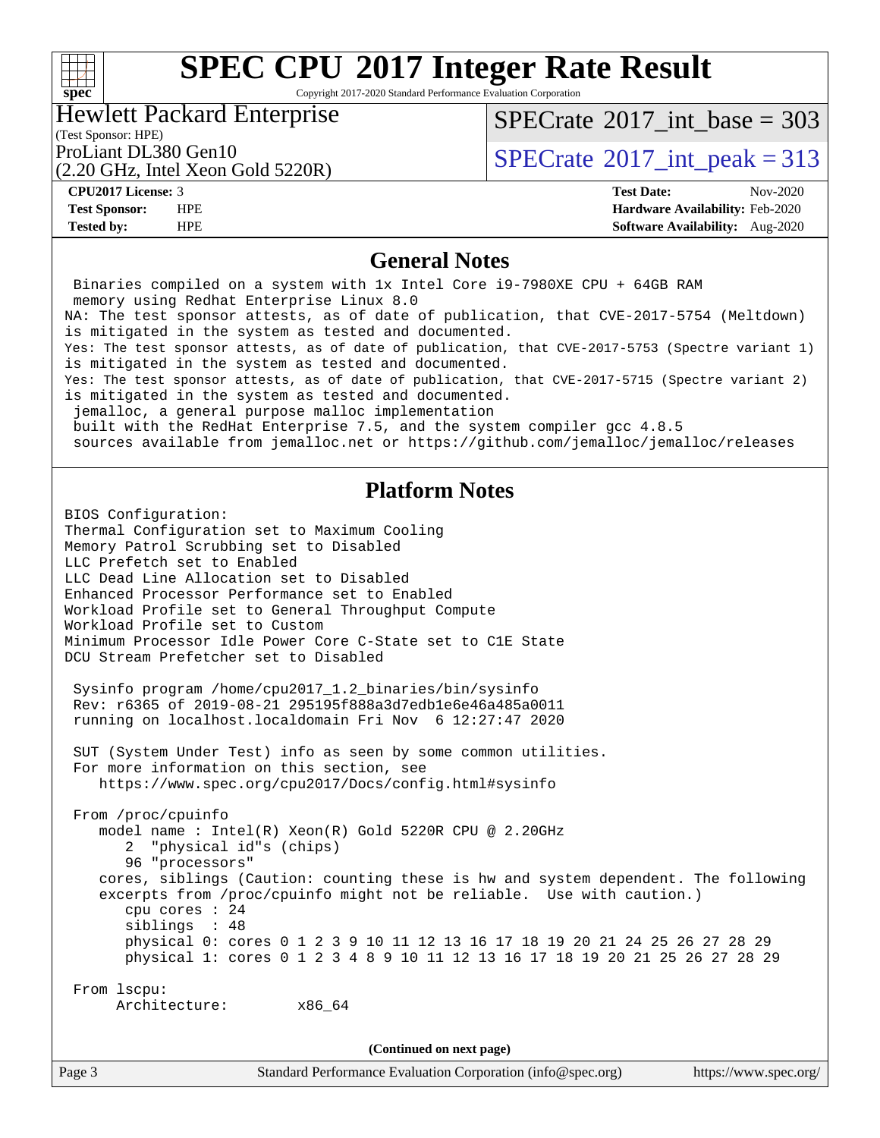Copyright 2017-2020 Standard Performance Evaluation Corporation

### Hewlett Packard Enterprise

(2.20 GHz, Intel Xeon Gold 5220R)

(Test Sponsor: HPE)

 $SPECTate@2017_int\_base = 303$ 

ProLiant DL380 Gen10  $SPECTATE \times 2017$ \_int\_peak = 313

**[spec](http://www.spec.org/)**

 $+\,$ H

**[CPU2017 License:](http://www.spec.org/auto/cpu2017/Docs/result-fields.html#CPU2017License)** 3 **[Test Date:](http://www.spec.org/auto/cpu2017/Docs/result-fields.html#TestDate)** Nov-2020 **[Test Sponsor:](http://www.spec.org/auto/cpu2017/Docs/result-fields.html#TestSponsor)** HPE **[Hardware Availability:](http://www.spec.org/auto/cpu2017/Docs/result-fields.html#HardwareAvailability)** Feb-2020 **[Tested by:](http://www.spec.org/auto/cpu2017/Docs/result-fields.html#Testedby)** HPE **[Software Availability:](http://www.spec.org/auto/cpu2017/Docs/result-fields.html#SoftwareAvailability)** Aug-2020

#### **[General Notes](http://www.spec.org/auto/cpu2017/Docs/result-fields.html#GeneralNotes)**

Page 3 Standard Performance Evaluation Corporation [\(info@spec.org\)](mailto:info@spec.org) <https://www.spec.org/> Binaries compiled on a system with 1x Intel Core i9-7980XE CPU + 64GB RAM memory using Redhat Enterprise Linux 8.0 NA: The test sponsor attests, as of date of publication, that CVE-2017-5754 (Meltdown) is mitigated in the system as tested and documented. Yes: The test sponsor attests, as of date of publication, that CVE-2017-5753 (Spectre variant 1) is mitigated in the system as tested and documented. Yes: The test sponsor attests, as of date of publication, that CVE-2017-5715 (Spectre variant 2) is mitigated in the system as tested and documented. jemalloc, a general purpose malloc implementation built with the RedHat Enterprise 7.5, and the system compiler gcc 4.8.5 sources available from jemalloc.net or<https://github.com/jemalloc/jemalloc/releases> **[Platform Notes](http://www.spec.org/auto/cpu2017/Docs/result-fields.html#PlatformNotes)** BIOS Configuration: Thermal Configuration set to Maximum Cooling Memory Patrol Scrubbing set to Disabled LLC Prefetch set to Enabled LLC Dead Line Allocation set to Disabled Enhanced Processor Performance set to Enabled Workload Profile set to General Throughput Compute Workload Profile set to Custom Minimum Processor Idle Power Core C-State set to C1E State DCU Stream Prefetcher set to Disabled Sysinfo program /home/cpu2017\_1.2\_binaries/bin/sysinfo Rev: r6365 of 2019-08-21 295195f888a3d7edb1e6e46a485a0011 running on localhost.localdomain Fri Nov 6 12:27:47 2020 SUT (System Under Test) info as seen by some common utilities. For more information on this section, see <https://www.spec.org/cpu2017/Docs/config.html#sysinfo> From /proc/cpuinfo model name : Intel(R) Xeon(R) Gold 5220R CPU @ 2.20GHz 2 "physical id"s (chips) 96 "processors" cores, siblings (Caution: counting these is hw and system dependent. The following excerpts from /proc/cpuinfo might not be reliable. Use with caution.) cpu cores : 24 siblings : 48 physical 0: cores 0 1 2 3 9 10 11 12 13 16 17 18 19 20 21 24 25 26 27 28 29 physical 1: cores 0 1 2 3 4 8 9 10 11 12 13 16 17 18 19 20 21 25 26 27 28 29 From lscpu: Architecture: x86\_64 **(Continued on next page)**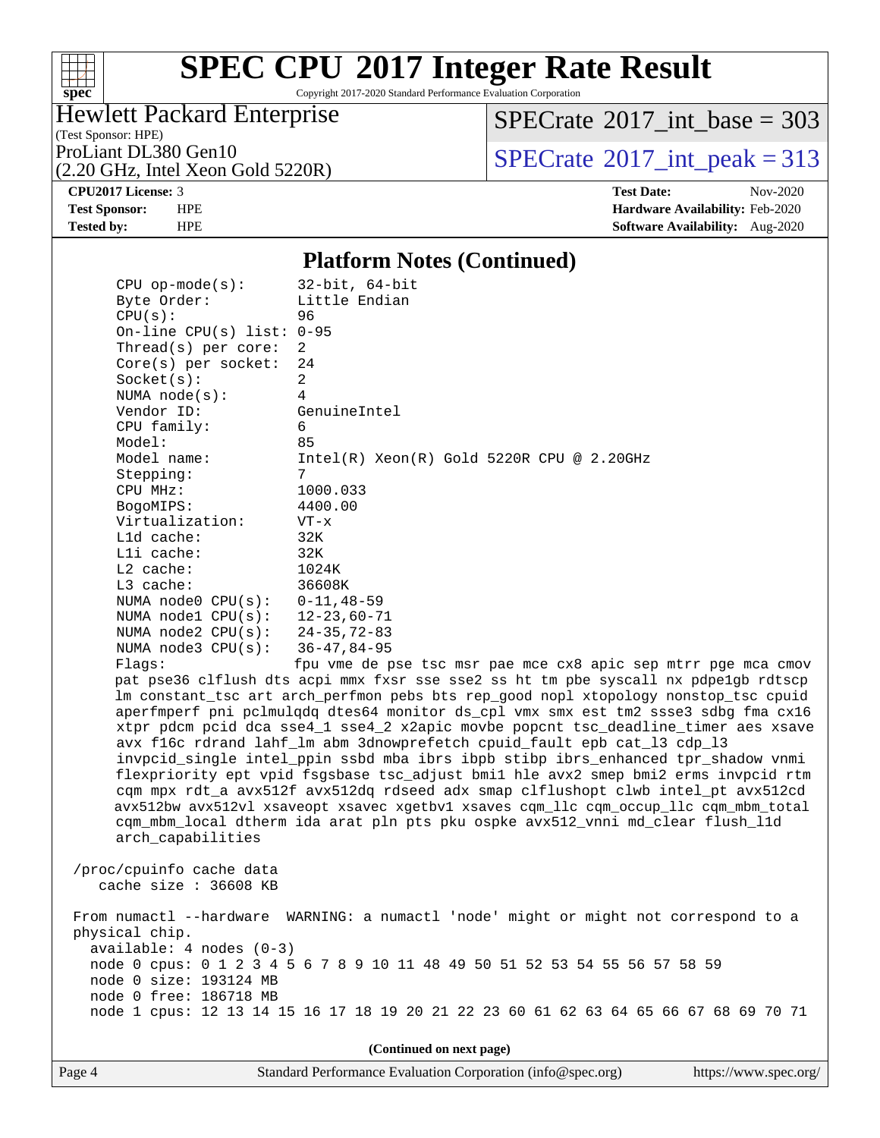

Copyright 2017-2020 Standard Performance Evaluation Corporation

### Hewlett Packard Enterprise

(2.20 GHz, Intel Xeon Gold 5220R)

(Test Sponsor: HPE)

 $SPECTate$ <sup>®</sup>[2017\\_int\\_base =](http://www.spec.org/auto/cpu2017/Docs/result-fields.html#SPECrate2017intbase) 303

ProLiant DL380 Gen10<br>(2.20 GHz, Intel Xeon Gold 5220R)  $\text{SPECrate}^{\circ}2017\_int\_peak = 313$  $\text{SPECrate}^{\circ}2017\_int\_peak = 313$  $\text{SPECrate}^{\circ}2017\_int\_peak = 313$ 

**[Tested by:](http://www.spec.org/auto/cpu2017/Docs/result-fields.html#Testedby)** HPE **[Software Availability:](http://www.spec.org/auto/cpu2017/Docs/result-fields.html#SoftwareAvailability)** Aug-2020

**[CPU2017 License:](http://www.spec.org/auto/cpu2017/Docs/result-fields.html#CPU2017License)** 3 **[Test Date:](http://www.spec.org/auto/cpu2017/Docs/result-fields.html#TestDate)** Nov-2020 **[Test Sponsor:](http://www.spec.org/auto/cpu2017/Docs/result-fields.html#TestSponsor)** HPE **[Hardware Availability:](http://www.spec.org/auto/cpu2017/Docs/result-fields.html#HardwareAvailability)** Feb-2020

#### **[Platform Notes \(Continued\)](http://www.spec.org/auto/cpu2017/Docs/result-fields.html#PlatformNotes)**

 CPU op-mode(s): 32-bit, 64-bit Byte Order: Little Endian CPU(s): 96 On-line CPU(s) list: 0-95 Thread(s) per core: 2 Core(s) per socket: 24  $Socket(s):$  NUMA node(s): 4 Vendor ID: GenuineIntel CPU family: 6 Model: 85 Model name: Intel(R) Xeon(R) Gold 5220R CPU @ 2.20GHz Stepping: CPU MHz: 1000.033 BogoMIPS: 4400.00 Virtualization: VT-x L1d cache: 32K L1i cache: 32K L2 cache: 1024K L3 cache: 36608K NUMA node0 CPU(s): 0-11,48-59 NUMA node1 CPU(s): 12-23,60-71 NUMA node2 CPU(s): 24-35,72-83 NUMA node3 CPU(s): 36-47,84-95 Flags: fpu vme de pse tsc msr pae mce cx8 apic sep mtrr pge mca cmov pat pse36 clflush dts acpi mmx fxsr sse sse2 ss ht tm pbe syscall nx pdpe1gb rdtscp lm constant\_tsc art arch\_perfmon pebs bts rep\_good nopl xtopology nonstop\_tsc cpuid aperfmperf pni pclmulqdq dtes64 monitor ds\_cpl vmx smx est tm2 ssse3 sdbg fma cx16 xtpr pdcm pcid dca sse4\_1 sse4\_2 x2apic movbe popcnt tsc\_deadline\_timer aes xsave avx f16c rdrand lahf\_lm abm 3dnowprefetch cpuid\_fault epb cat\_l3 cdp\_l3 invpcid\_single intel\_ppin ssbd mba ibrs ibpb stibp ibrs\_enhanced tpr\_shadow vnmi flexpriority ept vpid fsgsbase tsc\_adjust bmi1 hle avx2 smep bmi2 erms invpcid rtm cqm mpx rdt\_a avx512f avx512dq rdseed adx smap clflushopt clwb intel\_pt avx512cd avx512bw avx512vl xsaveopt xsavec xgetbv1 xsaves cqm\_llc cqm\_occup\_llc cqm\_mbm\_total cqm\_mbm\_local dtherm ida arat pln pts pku ospke avx512\_vnni md\_clear flush\_l1d arch\_capabilities /proc/cpuinfo cache data cache size : 36608 KB From numactl --hardware WARNING: a numactl 'node' might or might not correspond to a physical chip. available: 4 nodes (0-3) node 0 cpus: 0 1 2 3 4 5 6 7 8 9 10 11 48 49 50 51 52 53 54 55 56 57 58 59 node 0 size: 193124 MB

**(Continued on next page)**

node 1 cpus: 12 13 14 15 16 17 18 19 20 21 22 23 60 61 62 63 64 65 66 67 68 69 70 71

node 0 free: 186718 MB

Page 4 Standard Performance Evaluation Corporation [\(info@spec.org\)](mailto:info@spec.org) <https://www.spec.org/>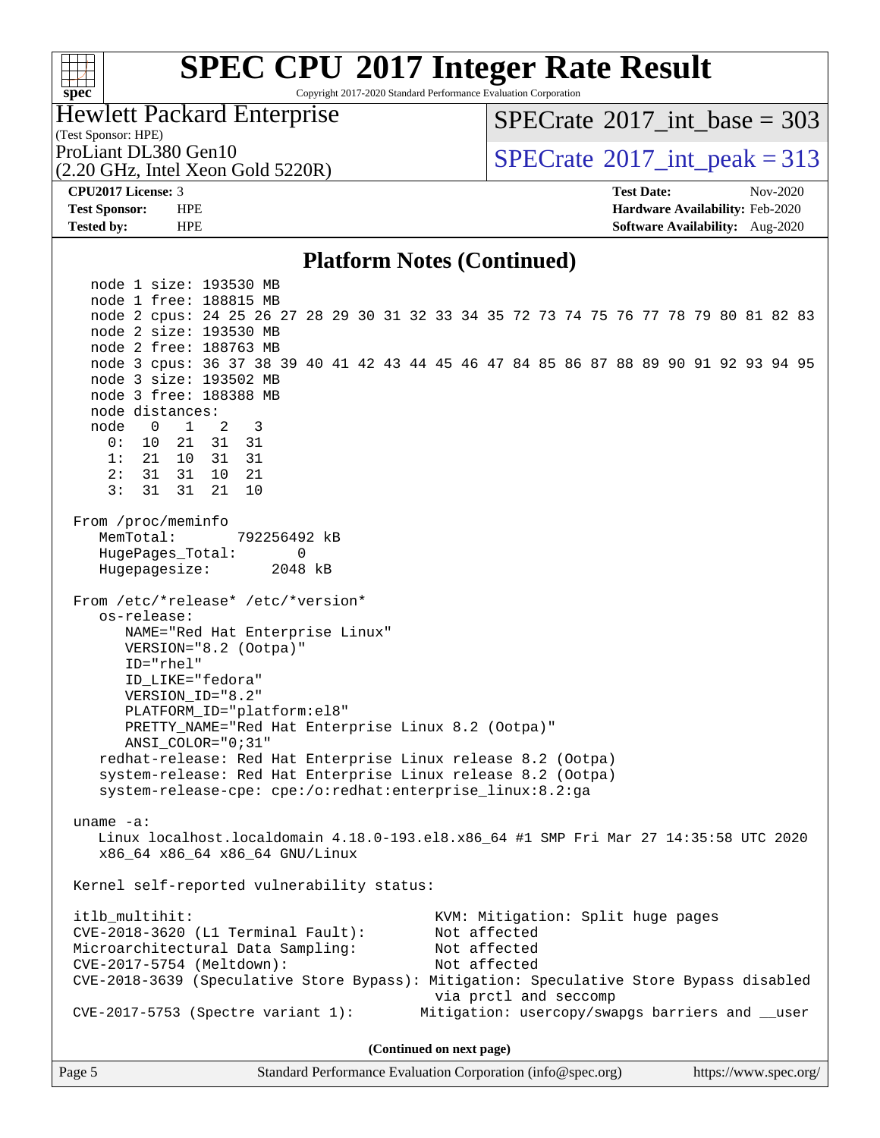### $+\ +$ **[spec](http://www.spec.org/)**

# **[SPEC CPU](http://www.spec.org/auto/cpu2017/Docs/result-fields.html#SPECCPU2017IntegerRateResult)[2017 Integer Rate Result](http://www.spec.org/auto/cpu2017/Docs/result-fields.html#SPECCPU2017IntegerRateResult)**

Copyright 2017-2020 Standard Performance Evaluation Corporation

Hewlett Packard Enterprise

 $SPECTate$ <sup>®</sup>[2017\\_int\\_base =](http://www.spec.org/auto/cpu2017/Docs/result-fields.html#SPECrate2017intbase) 303

(Test Sponsor: HPE) (2.20 GHz, Intel Xeon Gold 5220R)

ProLiant DL380 Gen10<br>  $SPECTate$ <sup>®</sup>[2017\\_int\\_peak = 3](http://www.spec.org/auto/cpu2017/Docs/result-fields.html#SPECrate2017intpeak)13

**[CPU2017 License:](http://www.spec.org/auto/cpu2017/Docs/result-fields.html#CPU2017License)** 3 **[Test Date:](http://www.spec.org/auto/cpu2017/Docs/result-fields.html#TestDate)** Nov-2020 **[Test Sponsor:](http://www.spec.org/auto/cpu2017/Docs/result-fields.html#TestSponsor)** HPE **[Hardware Availability:](http://www.spec.org/auto/cpu2017/Docs/result-fields.html#HardwareAvailability)** Feb-2020 **[Tested by:](http://www.spec.org/auto/cpu2017/Docs/result-fields.html#Testedby)** HPE **[Software Availability:](http://www.spec.org/auto/cpu2017/Docs/result-fields.html#SoftwareAvailability)** Aug-2020

### **[Platform Notes \(Continued\)](http://www.spec.org/auto/cpu2017/Docs/result-fields.html#PlatformNotes)**

 node 1 size: 193530 MB node 1 free: 188815 MB node 2 cpus: 24 25 26 27 28 29 30 31 32 33 34 35 72 73 74 75 76 77 78 79 80 81 82 83 node 2 size: 193530 MB node 2 free: 188763 MB node 3 cpus: 36 37 38 39 40 41 42 43 44 45 46 47 84 85 86 87 88 89 90 91 92 93 94 95 node 3 size: 193502 MB node 3 free: 188388 MB node distances: node 0 1 2 3 0: 10 21 31 31 1: 21 10 31 31 2: 31 31 10 21 3: 31 31 21 10 From /proc/meminfo MemTotal: 792256492 kB HugePages\_Total: 0 Hugepagesize: 2048 kB From /etc/\*release\* /etc/\*version\* os-release: NAME="Red Hat Enterprise Linux" VERSION="8.2 (Ootpa)" ID="rhel" ID\_LIKE="fedora" VERSION\_ID="8.2" PLATFORM\_ID="platform:el8" PRETTY\_NAME="Red Hat Enterprise Linux 8.2 (Ootpa)" ANSI\_COLOR="0;31" redhat-release: Red Hat Enterprise Linux release 8.2 (Ootpa) system-release: Red Hat Enterprise Linux release 8.2 (Ootpa) system-release-cpe: cpe:/o:redhat:enterprise\_linux:8.2:ga uname -a: Linux localhost.localdomain 4.18.0-193.el8.x86\_64 #1 SMP Fri Mar 27 14:35:58 UTC 2020 x86\_64 x86\_64 x86\_64 GNU/Linux Kernel self-reported vulnerability status: itlb\_multihit: KVM: Mitigation: Split huge pages CVE-2018-3620 (L1 Terminal Fault): Not affected Microarchitectural Data Sampling: Not affected CVE-2017-5754 (Meltdown): Not affected CVE-2018-3639 (Speculative Store Bypass): Mitigation: Speculative Store Bypass disabled via prctl and seccomp CVE-2017-5753 (Spectre variant 1): Mitigation: usercopy/swapgs barriers and \_\_user **(Continued on next page)**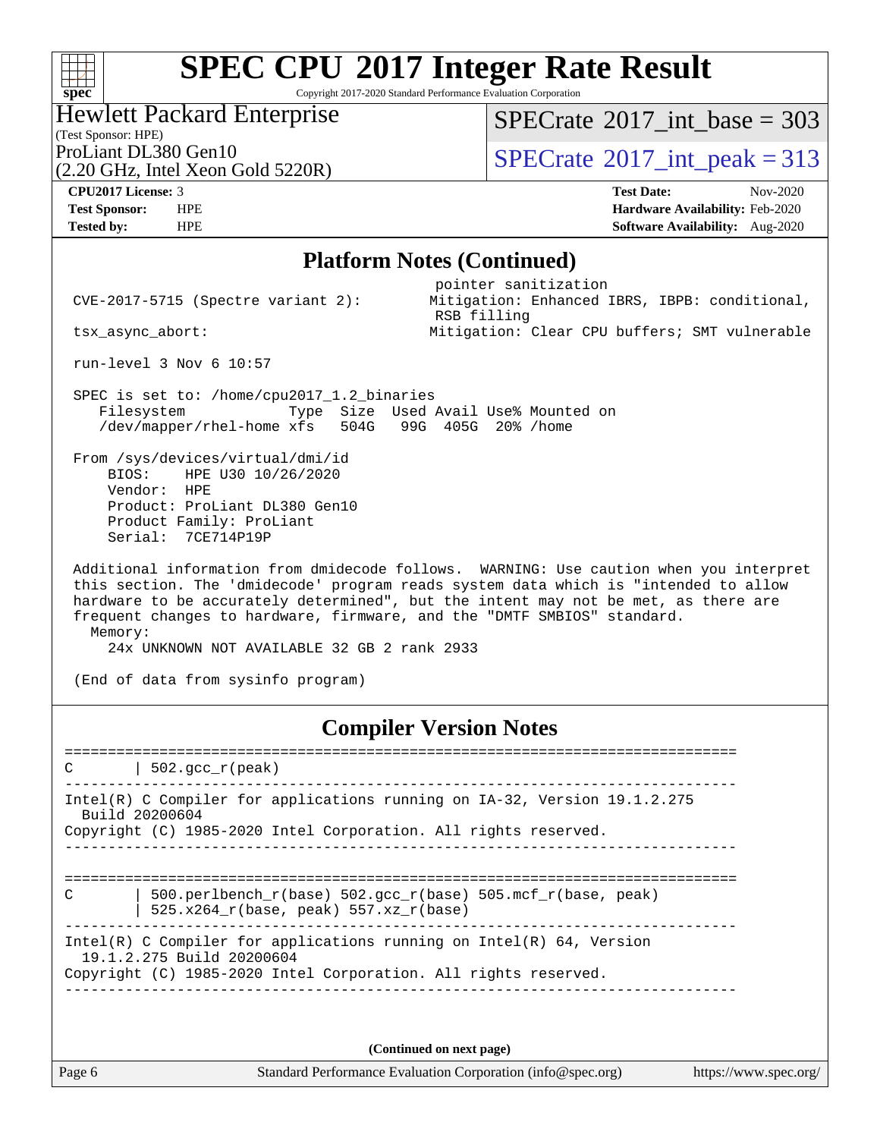Copyright 2017-2020 Standard Performance Evaluation Corporation

### Hewlett Packard Enterprise

(Test Sponsor: HPE)

 $SPECrate$ <sup>®</sup>[2017\\_int\\_base =](http://www.spec.org/auto/cpu2017/Docs/result-fields.html#SPECrate2017intbase) 303

(2.20 GHz, Intel Xeon Gold 5220R)

ProLiant DL380 Gen10  $SPECTATE \times 2017$ \_int\_peak = 313

**[spec](http://www.spec.org/)**

 $+\,$ H

**[CPU2017 License:](http://www.spec.org/auto/cpu2017/Docs/result-fields.html#CPU2017License)** 3 **[Test Date:](http://www.spec.org/auto/cpu2017/Docs/result-fields.html#TestDate)** Nov-2020 **[Test Sponsor:](http://www.spec.org/auto/cpu2017/Docs/result-fields.html#TestSponsor)** HPE **[Hardware Availability:](http://www.spec.org/auto/cpu2017/Docs/result-fields.html#HardwareAvailability)** Feb-2020 **[Tested by:](http://www.spec.org/auto/cpu2017/Docs/result-fields.html#Testedby)** HPE **[Software Availability:](http://www.spec.org/auto/cpu2017/Docs/result-fields.html#SoftwareAvailability)** Aug-2020

#### **[Platform Notes \(Continued\)](http://www.spec.org/auto/cpu2017/Docs/result-fields.html#PlatformNotes)**

pointer sanitization

RSB filling

CVE-2017-5715 (Spectre variant 2): Mitigation: Enhanced IBRS, IBPB: conditional,

tsx\_async\_abort: Mitigation: Clear CPU buffers; SMT vulnerable

run-level 3 Nov 6 10:57

 SPEC is set to: /home/cpu2017\_1.2\_binaries Filesystem Type Size Used Avail Use% Mounted on /dev/mapper/rhel-home xfs 504G 99G 405G 20% /home

 From /sys/devices/virtual/dmi/id BIOS: HPE U30 10/26/2020 Vendor: HPE Product: ProLiant DL380 Gen10 Product Family: ProLiant Serial: 7CE714P19P

 Additional information from dmidecode follows. WARNING: Use caution when you interpret this section. The 'dmidecode' program reads system data which is "intended to allow hardware to be accurately determined", but the intent may not be met, as there are frequent changes to hardware, firmware, and the "DMTF SMBIOS" standard. Memory:

24x UNKNOWN NOT AVAILABLE 32 GB 2 rank 2933

(End of data from sysinfo program)

### **[Compiler Version Notes](http://www.spec.org/auto/cpu2017/Docs/result-fields.html#CompilerVersionNotes)**

==============================================================================  $C \qquad | \quad 502.\text{gcc\_r}(\text{peak})$ ------------------------------------------------------------------------------ Intel(R) C Compiler for applications running on IA-32, Version 19.1.2.275 Build 20200604 Copyright (C) 1985-2020 Intel Corporation. All rights reserved. ------------------------------------------------------------------------------ ============================================================================== C | 500.perlbench\_r(base) 502.gcc\_r(base) 505.mcf\_r(base, peak) | 525.x264\_r(base, peak) 557.xz\_r(base) ------------------------------------------------------------------------------ Intel(R) C Compiler for applications running on  $Intel(R) 64$ , Version 19.1.2.275 Build 20200604 Copyright (C) 1985-2020 Intel Corporation. All rights reserved. ------------------------------------------------------------------------------

**(Continued on next page)**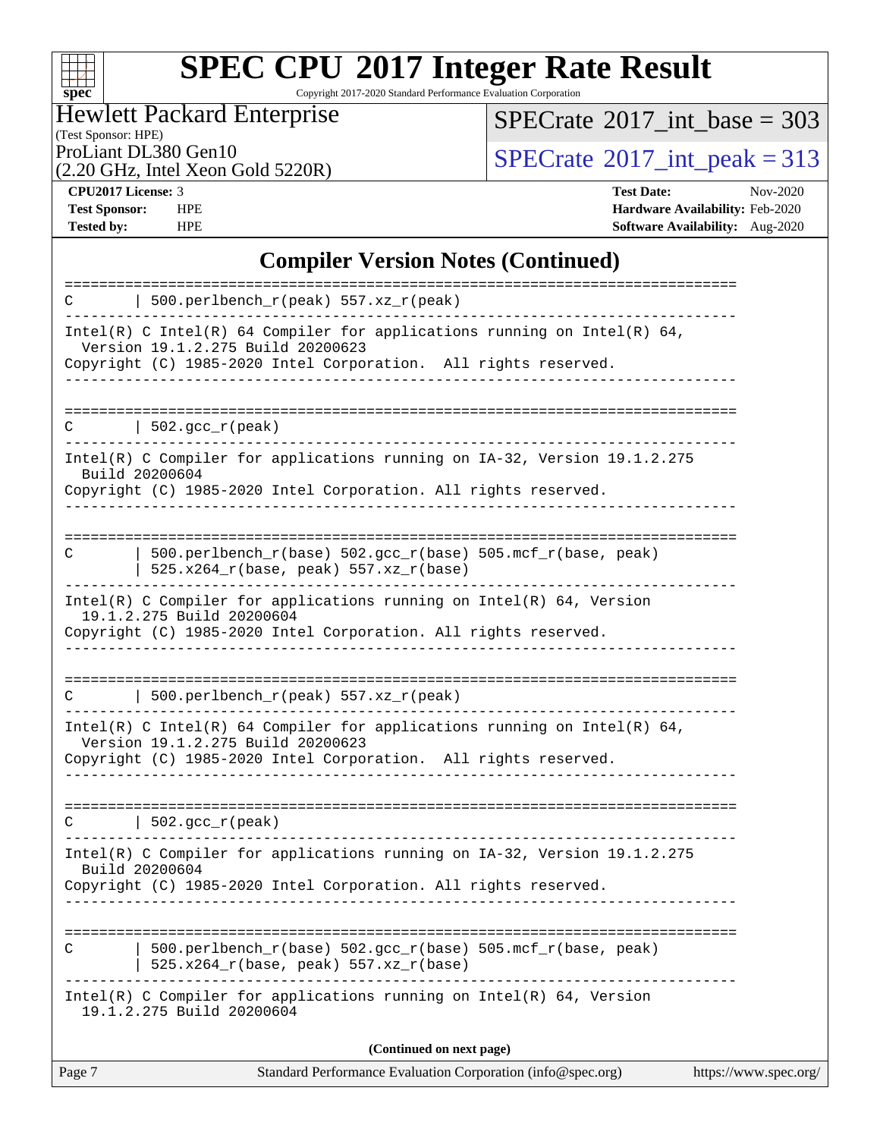

Copyright 2017-2020 Standard Performance Evaluation Corporation

Hewlett Packard Enterprise

(2.20 GHz, Intel Xeon Gold 5220R)

 $SPECrate$ <sup>®</sup>[2017\\_int\\_base =](http://www.spec.org/auto/cpu2017/Docs/result-fields.html#SPECrate2017intbase) 303

(Test Sponsor: HPE)

ProLiant DL380 Gen10<br>  $(2.20 \text{ GHz})$  Intel Xeon Gold 5220R)

**[CPU2017 License:](http://www.spec.org/auto/cpu2017/Docs/result-fields.html#CPU2017License)** 3 **[Test Date:](http://www.spec.org/auto/cpu2017/Docs/result-fields.html#TestDate)** Nov-2020 **[Test Sponsor:](http://www.spec.org/auto/cpu2017/Docs/result-fields.html#TestSponsor)** HPE **[Hardware Availability:](http://www.spec.org/auto/cpu2017/Docs/result-fields.html#HardwareAvailability)** Feb-2020 **[Tested by:](http://www.spec.org/auto/cpu2017/Docs/result-fields.html#Testedby)** HPE **[Software Availability:](http://www.spec.org/auto/cpu2017/Docs/result-fields.html#SoftwareAvailability)** Aug-2020

### **[Compiler Version Notes \(Continued\)](http://www.spec.org/auto/cpu2017/Docs/result-fields.html#CompilerVersionNotes)**

| Page 7 | Standard Performance Evaluation Corporation (info@spec.org)                                                                                                                      | https://www.spec.org/ |
|--------|----------------------------------------------------------------------------------------------------------------------------------------------------------------------------------|-----------------------|
|        | (Continued on next page)                                                                                                                                                         |                       |
|        | Intel(R) C Compiler for applications running on $Intel(R) 64$ , Version<br>19.1.2.275 Build 20200604                                                                             |                       |
| C      | 500.perlbench_r(base) 502.gcc_r(base) 505.mcf_r(base, peak)<br>525.x264_r(base, peak) 557.xz_r(base)                                                                             |                       |
|        | Build 20200604<br>Copyright (C) 1985-2020 Intel Corporation. All rights reserved.                                                                                                |                       |
|        | Intel(R) C Compiler for applications running on IA-32, Version 19.1.2.275                                                                                                        |                       |
| C      | $\vert$ 502.gcc_r(peak)                                                                                                                                                          |                       |
|        | Intel(R) C Intel(R) 64 Compiler for applications running on Intel(R) 64,<br>Version 19.1.2.275 Build 20200623<br>Copyright (C) 1985-2020 Intel Corporation. All rights reserved. |                       |
| C.     | $500.perlbench_r(peak) 557. xz_r(peak)$                                                                                                                                          |                       |
|        | 19.1.2.275 Build 20200604<br>Copyright (C) 1985-2020 Intel Corporation. All rights reserved.                                                                                     |                       |
|        | $Intel(R)$ C Compiler for applications running on $Intel(R)$ 64, Version                                                                                                         |                       |
| C      | 500.perlbench_r(base) 502.gcc_r(base) 505.mcf_r(base, peak)<br>$525.x264_r(base, peak) 557.xz_r(base)$                                                                           |                       |
|        | Build 20200604<br>Copyright (C) 1985-2020 Intel Corporation. All rights reserved.                                                                                                |                       |
|        | Intel(R) C Compiler for applications running on IA-32, Version 19.1.2.275                                                                                                        |                       |
| C      | $\vert$ 502.gcc_r(peak)                                                                                                                                                          |                       |
|        | Version 19.1.2.275 Build 20200623<br>Copyright (C) 1985-2020 Intel Corporation. All rights reserved.                                                                             |                       |
|        | $Intel(R)$ C Intel(R) 64 Compiler for applications running on Intel(R) 64,                                                                                                       |                       |
| C      | 500.perlbench_r(peak) 557.xz_r(peak)                                                                                                                                             |                       |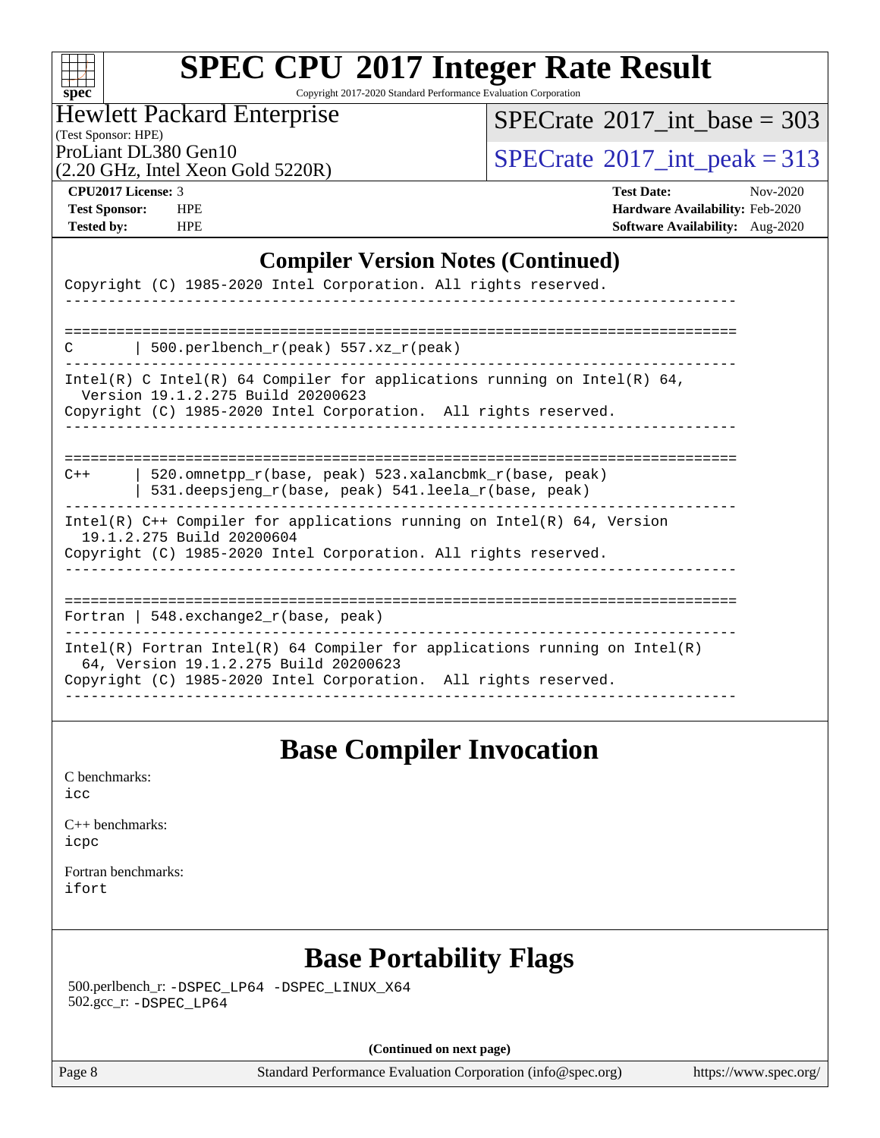| N | S.<br>U | e |  |
|---|---------|---|--|

Copyright 2017-2020 Standard Performance Evaluation Corporation

### Hewlett Packard Enterprise

(Test Sponsor: HPE)

 $SPECTate@2017_int\_base = 303$ 

(2.20 GHz, Intel Xeon Gold 5220R)

ProLiant DL380 Gen10<br>(2.20 GHz, Intel Xeon Gold 5220R)  $\text{SPECrate}^{\circ}2017\_int\_peak = 313$  $\text{SPECrate}^{\circ}2017\_int\_peak = 313$  $\text{SPECrate}^{\circ}2017\_int\_peak = 313$ 

**[CPU2017 License:](http://www.spec.org/auto/cpu2017/Docs/result-fields.html#CPU2017License)** 3 **[Test Date:](http://www.spec.org/auto/cpu2017/Docs/result-fields.html#TestDate)** Nov-2020 **[Test Sponsor:](http://www.spec.org/auto/cpu2017/Docs/result-fields.html#TestSponsor)** HPE **[Hardware Availability:](http://www.spec.org/auto/cpu2017/Docs/result-fields.html#HardwareAvailability)** Feb-2020 **[Tested by:](http://www.spec.org/auto/cpu2017/Docs/result-fields.html#Testedby)** HPE **[Software Availability:](http://www.spec.org/auto/cpu2017/Docs/result-fields.html#SoftwareAvailability)** Aug-2020

### **[Compiler Version Notes \(Continued\)](http://www.spec.org/auto/cpu2017/Docs/result-fields.html#CompilerVersionNotes)**

| Copyright (C) 1985-2020 Intel Corporation. All rights reserved.                                                                                                                        |
|----------------------------------------------------------------------------------------------------------------------------------------------------------------------------------------|
|                                                                                                                                                                                        |
| 500.perlbench $r(\text{peak})$ 557.xz $r(\text{peak})$<br>C                                                                                                                            |
| Intel(R) C Intel(R) 64 Compiler for applications running on Intel(R) 64,<br>Version 19.1.2.275 Build 20200623<br>Copyright (C) 1985-2020 Intel Corporation. All rights reserved.       |
|                                                                                                                                                                                        |
| 520.omnetpp $r(base, peak)$ 523.xalancbmk $r(base, peak)$<br>$C++$<br>531.deepsjeng_r(base, peak) 541.leela_r(base, peak)                                                              |
| $Intel(R)$ C++ Compiler for applications running on $Intel(R)$ 64, Version<br>19.1.2.275 Build 20200604<br>Copyright (C) 1985-2020 Intel Corporation. All rights reserved.             |
| Fortran   548.exchange2 $r(base, peak)$                                                                                                                                                |
| Intel(R) Fortran Intel(R) 64 Compiler for applications running on Intel(R)<br>64, Version 19.1.2.275 Build 20200623<br>Copyright (C) 1985-2020 Intel Corporation. All rights reserved. |
|                                                                                                                                                                                        |

### **[Base Compiler Invocation](http://www.spec.org/auto/cpu2017/Docs/result-fields.html#BaseCompilerInvocation)**

[C benchmarks](http://www.spec.org/auto/cpu2017/Docs/result-fields.html#Cbenchmarks): [icc](http://www.spec.org/cpu2017/results/res2020q4/cpu2017-20201109-24344.flags.html#user_CCbase_intel_icc_66fc1ee009f7361af1fbd72ca7dcefbb700085f36577c54f309893dd4ec40d12360134090235512931783d35fd58c0460139e722d5067c5574d8eaf2b3e37e92)

[C++ benchmarks:](http://www.spec.org/auto/cpu2017/Docs/result-fields.html#CXXbenchmarks) [icpc](http://www.spec.org/cpu2017/results/res2020q4/cpu2017-20201109-24344.flags.html#user_CXXbase_intel_icpc_c510b6838c7f56d33e37e94d029a35b4a7bccf4766a728ee175e80a419847e808290a9b78be685c44ab727ea267ec2f070ec5dc83b407c0218cded6866a35d07)

[Fortran benchmarks](http://www.spec.org/auto/cpu2017/Docs/result-fields.html#Fortranbenchmarks): [ifort](http://www.spec.org/cpu2017/results/res2020q4/cpu2017-20201109-24344.flags.html#user_FCbase_intel_ifort_8111460550e3ca792625aed983ce982f94888b8b503583aa7ba2b8303487b4d8a21a13e7191a45c5fd58ff318f48f9492884d4413fa793fd88dd292cad7027ca)

### **[Base Portability Flags](http://www.spec.org/auto/cpu2017/Docs/result-fields.html#BasePortabilityFlags)**

 500.perlbench\_r: [-DSPEC\\_LP64](http://www.spec.org/cpu2017/results/res2020q4/cpu2017-20201109-24344.flags.html#b500.perlbench_r_basePORTABILITY_DSPEC_LP64) [-DSPEC\\_LINUX\\_X64](http://www.spec.org/cpu2017/results/res2020q4/cpu2017-20201109-24344.flags.html#b500.perlbench_r_baseCPORTABILITY_DSPEC_LINUX_X64) 502.gcc\_r: [-DSPEC\\_LP64](http://www.spec.org/cpu2017/results/res2020q4/cpu2017-20201109-24344.flags.html#suite_basePORTABILITY502_gcc_r_DSPEC_LP64)

**(Continued on next page)**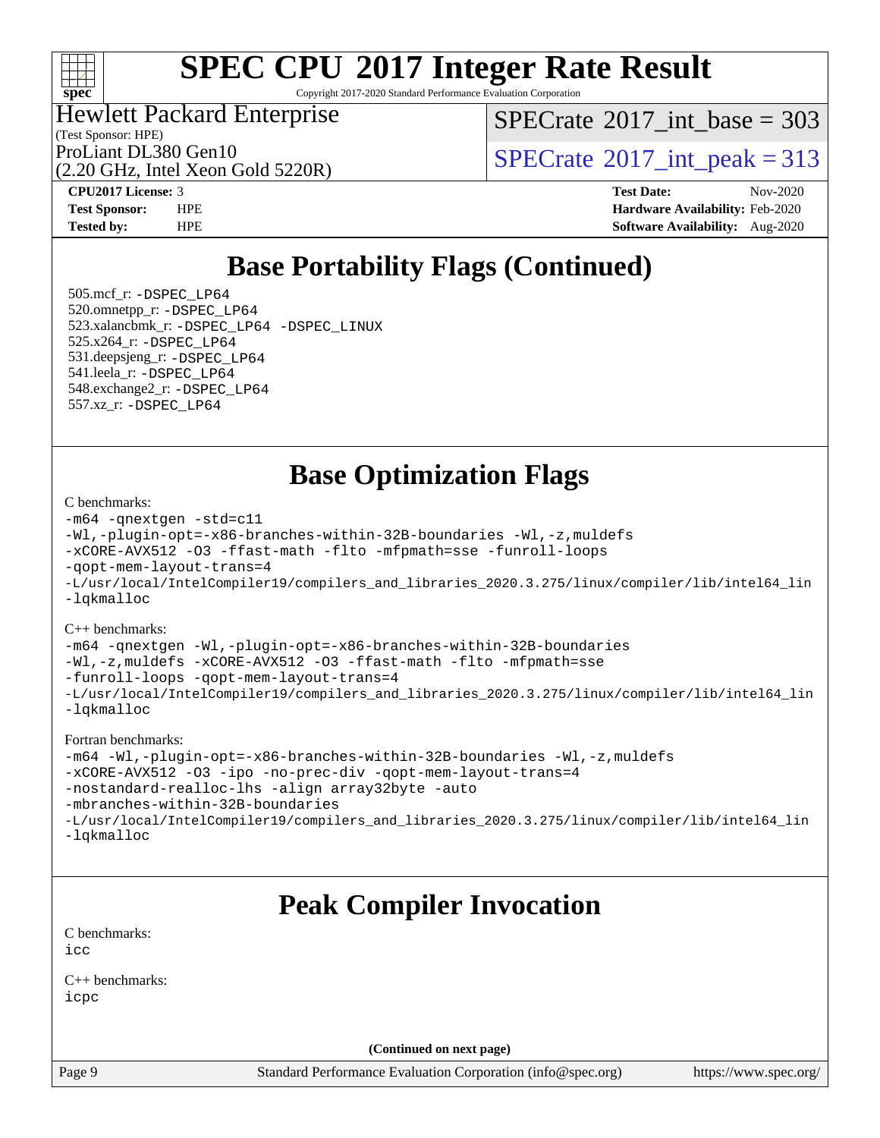

Copyright 2017-2020 Standard Performance Evaluation Corporation

Hewlett Packard Enterprise

 $SPECTate$ <sup>®</sup>[2017\\_int\\_base =](http://www.spec.org/auto/cpu2017/Docs/result-fields.html#SPECrate2017intbase) 303

(Test Sponsor: HPE) (2.20 GHz, Intel Xeon Gold 5220R)

ProLiant DL380 Gen10<br>  $SPECTate$ <sup>®</sup>[2017\\_int\\_peak = 3](http://www.spec.org/auto/cpu2017/Docs/result-fields.html#SPECrate2017intpeak)13

**[CPU2017 License:](http://www.spec.org/auto/cpu2017/Docs/result-fields.html#CPU2017License)** 3 **[Test Date:](http://www.spec.org/auto/cpu2017/Docs/result-fields.html#TestDate)** Nov-2020 **[Test Sponsor:](http://www.spec.org/auto/cpu2017/Docs/result-fields.html#TestSponsor)** HPE **[Hardware Availability:](http://www.spec.org/auto/cpu2017/Docs/result-fields.html#HardwareAvailability)** Feb-2020 **[Tested by:](http://www.spec.org/auto/cpu2017/Docs/result-fields.html#Testedby)** HPE **[Software Availability:](http://www.spec.org/auto/cpu2017/Docs/result-fields.html#SoftwareAvailability)** Aug-2020

## **[Base Portability Flags \(Continued\)](http://www.spec.org/auto/cpu2017/Docs/result-fields.html#BasePortabilityFlags)**

 505.mcf\_r: [-DSPEC\\_LP64](http://www.spec.org/cpu2017/results/res2020q4/cpu2017-20201109-24344.flags.html#suite_basePORTABILITY505_mcf_r_DSPEC_LP64) 520.omnetpp\_r: [-DSPEC\\_LP64](http://www.spec.org/cpu2017/results/res2020q4/cpu2017-20201109-24344.flags.html#suite_basePORTABILITY520_omnetpp_r_DSPEC_LP64) 523.xalancbmk\_r: [-DSPEC\\_LP64](http://www.spec.org/cpu2017/results/res2020q4/cpu2017-20201109-24344.flags.html#suite_basePORTABILITY523_xalancbmk_r_DSPEC_LP64) [-DSPEC\\_LINUX](http://www.spec.org/cpu2017/results/res2020q4/cpu2017-20201109-24344.flags.html#b523.xalancbmk_r_baseCXXPORTABILITY_DSPEC_LINUX) 525.x264\_r: [-DSPEC\\_LP64](http://www.spec.org/cpu2017/results/res2020q4/cpu2017-20201109-24344.flags.html#suite_basePORTABILITY525_x264_r_DSPEC_LP64) 531.deepsjeng\_r: [-DSPEC\\_LP64](http://www.spec.org/cpu2017/results/res2020q4/cpu2017-20201109-24344.flags.html#suite_basePORTABILITY531_deepsjeng_r_DSPEC_LP64) 541.leela\_r: [-DSPEC\\_LP64](http://www.spec.org/cpu2017/results/res2020q4/cpu2017-20201109-24344.flags.html#suite_basePORTABILITY541_leela_r_DSPEC_LP64) 548.exchange2\_r: [-DSPEC\\_LP64](http://www.spec.org/cpu2017/results/res2020q4/cpu2017-20201109-24344.flags.html#suite_basePORTABILITY548_exchange2_r_DSPEC_LP64) 557.xz\_r: [-DSPEC\\_LP64](http://www.spec.org/cpu2017/results/res2020q4/cpu2017-20201109-24344.flags.html#suite_basePORTABILITY557_xz_r_DSPEC_LP64)

**[Base Optimization Flags](http://www.spec.org/auto/cpu2017/Docs/result-fields.html#BaseOptimizationFlags)**

#### [C benchmarks](http://www.spec.org/auto/cpu2017/Docs/result-fields.html#Cbenchmarks):

```
-m64 -qnextgen -std=c11
-Wl,-plugin-opt=-x86-branches-within-32B-boundaries -Wl,-z,muldefs
-xCORE-AVX512 -O3 -ffast-math -flto -mfpmath=sse -funroll-loops
-qopt-mem-layout-trans=4
-L/usr/local/IntelCompiler19/compilers_and_libraries_2020.3.275/linux/compiler/lib/intel64_lin
-lqkmalloc
```
[C++ benchmarks](http://www.spec.org/auto/cpu2017/Docs/result-fields.html#CXXbenchmarks):

```
-m64 -qnextgen -Wl,-plugin-opt=-x86-branches-within-32B-boundaries
-Wl,-z,muldefs -xCORE-AVX512 -O3 -ffast-math -flto -mfpmath=sse
-funroll-loops -qopt-mem-layout-trans=4
-L/usr/local/IntelCompiler19/compilers_and_libraries_2020.3.275/linux/compiler/lib/intel64_lin
-lqkmalloc
```
#### [Fortran benchmarks:](http://www.spec.org/auto/cpu2017/Docs/result-fields.html#Fortranbenchmarks)

```
-m64 -Wl,-plugin-opt=-x86-branches-within-32B-boundaries -Wl,-z,muldefs
-xCORE-AVX512 -O3 -ipo -no-prec-div -qopt-mem-layout-trans=4
-nostandard-realloc-lhs -align array32byte -auto
-mbranches-within-32B-boundaries
-L/usr/local/IntelCompiler19/compilers_and_libraries_2020.3.275/linux/compiler/lib/intel64_lin
-lqkmalloc
```
### **[Peak Compiler Invocation](http://www.spec.org/auto/cpu2017/Docs/result-fields.html#PeakCompilerInvocation)**

[C benchmarks](http://www.spec.org/auto/cpu2017/Docs/result-fields.html#Cbenchmarks): [icc](http://www.spec.org/cpu2017/results/res2020q4/cpu2017-20201109-24344.flags.html#user_CCpeak_intel_icc_66fc1ee009f7361af1fbd72ca7dcefbb700085f36577c54f309893dd4ec40d12360134090235512931783d35fd58c0460139e722d5067c5574d8eaf2b3e37e92)

[C++ benchmarks:](http://www.spec.org/auto/cpu2017/Docs/result-fields.html#CXXbenchmarks) [icpc](http://www.spec.org/cpu2017/results/res2020q4/cpu2017-20201109-24344.flags.html#user_CXXpeak_intel_icpc_c510b6838c7f56d33e37e94d029a35b4a7bccf4766a728ee175e80a419847e808290a9b78be685c44ab727ea267ec2f070ec5dc83b407c0218cded6866a35d07)

**(Continued on next page)**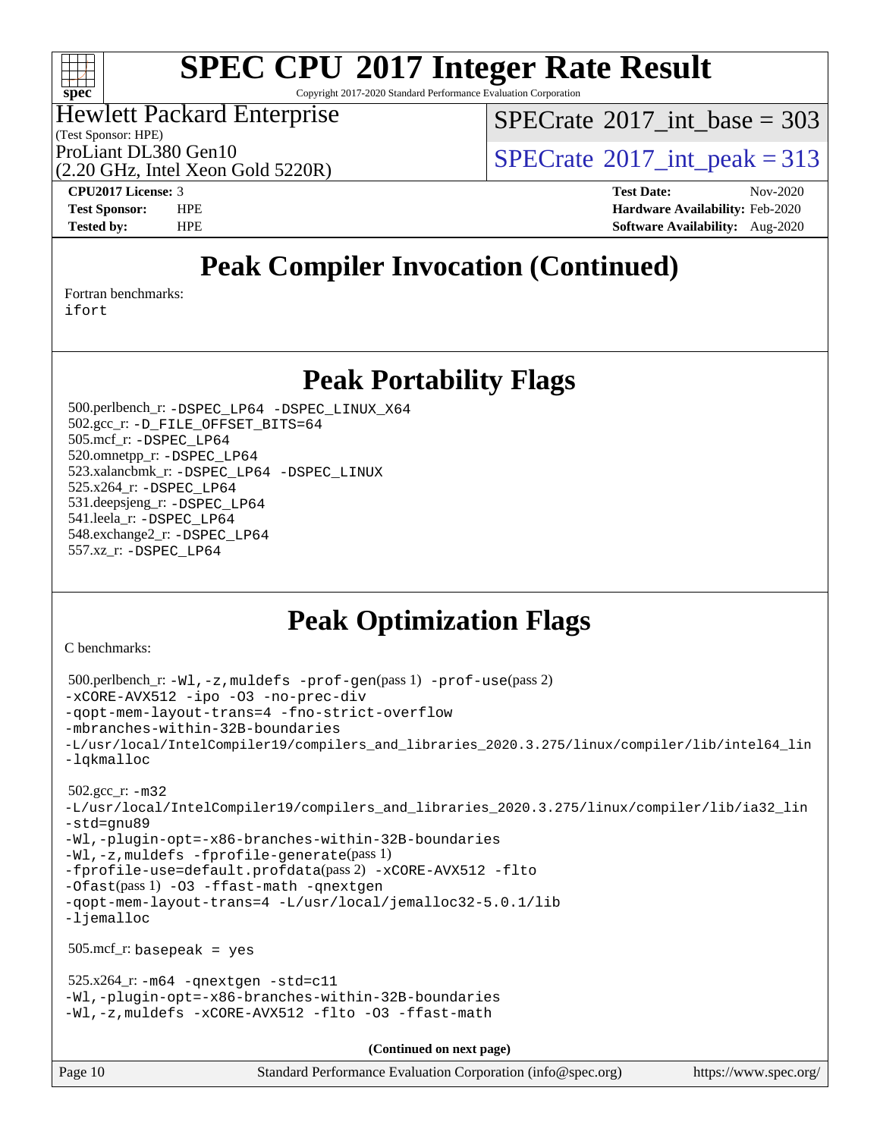

Copyright 2017-2020 Standard Performance Evaluation Corporation

### Hewlett Packard Enterprise

(Test Sponsor: HPE)

 $SPECTate$ <sup>®</sup>[2017\\_int\\_base =](http://www.spec.org/auto/cpu2017/Docs/result-fields.html#SPECrate2017intbase) 303

(2.20 GHz, Intel Xeon Gold 5220R)

ProLiant DL380 Gen10<br>  $SPECTate$ <sup>®</sup>[2017\\_int\\_peak = 3](http://www.spec.org/auto/cpu2017/Docs/result-fields.html#SPECrate2017intpeak)13

**[CPU2017 License:](http://www.spec.org/auto/cpu2017/Docs/result-fields.html#CPU2017License)** 3 **[Test Date:](http://www.spec.org/auto/cpu2017/Docs/result-fields.html#TestDate)** Nov-2020 **[Test Sponsor:](http://www.spec.org/auto/cpu2017/Docs/result-fields.html#TestSponsor)** HPE **[Hardware Availability:](http://www.spec.org/auto/cpu2017/Docs/result-fields.html#HardwareAvailability)** Feb-2020 **[Tested by:](http://www.spec.org/auto/cpu2017/Docs/result-fields.html#Testedby)** HPE **[Software Availability:](http://www.spec.org/auto/cpu2017/Docs/result-fields.html#SoftwareAvailability)** Aug-2020

## **[Peak Compiler Invocation \(Continued\)](http://www.spec.org/auto/cpu2017/Docs/result-fields.html#PeakCompilerInvocation)**

[Fortran benchmarks](http://www.spec.org/auto/cpu2017/Docs/result-fields.html#Fortranbenchmarks):

[ifort](http://www.spec.org/cpu2017/results/res2020q4/cpu2017-20201109-24344.flags.html#user_FCpeak_intel_ifort_8111460550e3ca792625aed983ce982f94888b8b503583aa7ba2b8303487b4d8a21a13e7191a45c5fd58ff318f48f9492884d4413fa793fd88dd292cad7027ca)

### **[Peak Portability Flags](http://www.spec.org/auto/cpu2017/Docs/result-fields.html#PeakPortabilityFlags)**

 500.perlbench\_r: [-DSPEC\\_LP64](http://www.spec.org/cpu2017/results/res2020q4/cpu2017-20201109-24344.flags.html#b500.perlbench_r_peakPORTABILITY_DSPEC_LP64) [-DSPEC\\_LINUX\\_X64](http://www.spec.org/cpu2017/results/res2020q4/cpu2017-20201109-24344.flags.html#b500.perlbench_r_peakCPORTABILITY_DSPEC_LINUX_X64) 502.gcc\_r: [-D\\_FILE\\_OFFSET\\_BITS=64](http://www.spec.org/cpu2017/results/res2020q4/cpu2017-20201109-24344.flags.html#user_peakPORTABILITY502_gcc_r_file_offset_bits_64_5ae949a99b284ddf4e95728d47cb0843d81b2eb0e18bdfe74bbf0f61d0b064f4bda2f10ea5eb90e1dcab0e84dbc592acfc5018bc955c18609f94ddb8d550002c) 505.mcf\_r: [-DSPEC\\_LP64](http://www.spec.org/cpu2017/results/res2020q4/cpu2017-20201109-24344.flags.html#suite_peakPORTABILITY505_mcf_r_DSPEC_LP64) 520.omnetpp\_r: [-DSPEC\\_LP64](http://www.spec.org/cpu2017/results/res2020q4/cpu2017-20201109-24344.flags.html#suite_peakPORTABILITY520_omnetpp_r_DSPEC_LP64) 523.xalancbmk\_r: [-DSPEC\\_LP64](http://www.spec.org/cpu2017/results/res2020q4/cpu2017-20201109-24344.flags.html#suite_peakPORTABILITY523_xalancbmk_r_DSPEC_LP64) [-DSPEC\\_LINUX](http://www.spec.org/cpu2017/results/res2020q4/cpu2017-20201109-24344.flags.html#b523.xalancbmk_r_peakCXXPORTABILITY_DSPEC_LINUX) 525.x264\_r: [-DSPEC\\_LP64](http://www.spec.org/cpu2017/results/res2020q4/cpu2017-20201109-24344.flags.html#suite_peakPORTABILITY525_x264_r_DSPEC_LP64) 531.deepsjeng\_r: [-DSPEC\\_LP64](http://www.spec.org/cpu2017/results/res2020q4/cpu2017-20201109-24344.flags.html#suite_peakPORTABILITY531_deepsjeng_r_DSPEC_LP64) 541.leela\_r: [-DSPEC\\_LP64](http://www.spec.org/cpu2017/results/res2020q4/cpu2017-20201109-24344.flags.html#suite_peakPORTABILITY541_leela_r_DSPEC_LP64) 548.exchange2\_r: [-DSPEC\\_LP64](http://www.spec.org/cpu2017/results/res2020q4/cpu2017-20201109-24344.flags.html#suite_peakPORTABILITY548_exchange2_r_DSPEC_LP64) 557.xz\_r: [-DSPEC\\_LP64](http://www.spec.org/cpu2017/results/res2020q4/cpu2017-20201109-24344.flags.html#suite_peakPORTABILITY557_xz_r_DSPEC_LP64)

## **[Peak Optimization Flags](http://www.spec.org/auto/cpu2017/Docs/result-fields.html#PeakOptimizationFlags)**

[C benchmarks](http://www.spec.org/auto/cpu2017/Docs/result-fields.html#Cbenchmarks):

```
Page 10 Standard Performance Evaluation Corporation (info@spec.org) https://www.spec.org/
  500.perlbench_r: -Wl,-z,muldefs -prof-gen(pass 1) -prof-use(pass 2)
-xCORE-AVX512 -ipo -O3 -no-prec-div
-qopt-mem-layout-trans=4 -fno-strict-overflow
-mbranches-within-32B-boundaries
-L/usr/local/IntelCompiler19/compilers_and_libraries_2020.3.275/linux/compiler/lib/intel64_lin
-lqkmalloc
  502.gcc_r: -m32
-L/usr/local/IntelCompiler19/compilers_and_libraries_2020.3.275/linux/compiler/lib/ia32_lin
-std=gnu89
-Wl,-plugin-opt=-x86-branches-within-32B-boundaries
-Wl,-z,muldefs -fprofile-generate(pass 1)
-fprofile-use=default.profdata(pass 2) -xCORE-AVX512 -flto
-Ofast(pass 1) -O3 -ffast-math -qnextgen
-qopt-mem-layout-trans=4 -L/usr/local/jemalloc32-5.0.1/lib
-ljemalloc
  505.mcf_r: basepeak = yes
 525.x264_r: -m64-qnextgen -std=cl1-Wl,-plugin-opt=-x86-branches-within-32B-boundaries
-Wl,-z,muldefs -xCORE-AVX512 -flto -O3 -ffast-math
                                      (Continued on next page)
```